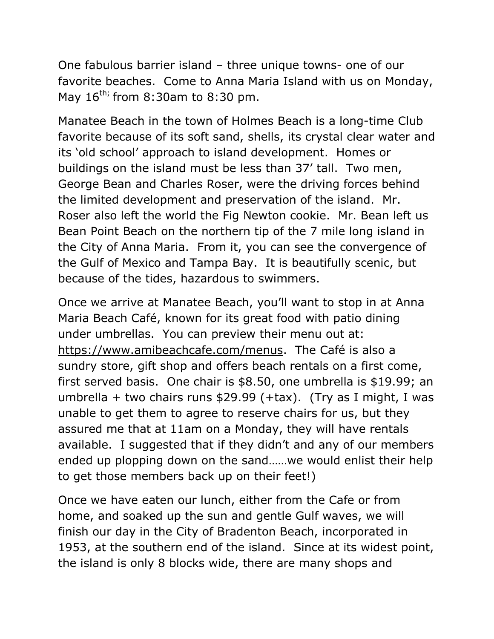One fabulous barrier island – three unique towns- one of our favorite beaches. Come to Anna Maria Island with us on Monday, May  $16^{th}$ ; from 8:30am to 8:30 pm.

Manatee Beach in the town of Holmes Beach is a long-time Club favorite because of its soft sand, shells, its crystal clear water and its 'old school' approach to island development. Homes or buildings on the island must be less than 37' tall. Two men, George Bean and Charles Roser, were the driving forces behind the limited development and preservation of the island. Mr. Roser also left the world the Fig Newton cookie. Mr. Bean left us Bean Point Beach on the northern tip of the 7 mile long island in the City of Anna Maria. From it, you can see the convergence of the Gulf of Mexico and Tampa Bay. It is beautifully scenic, but because of the tides, hazardous to swimmers.

Once we arrive at Manatee Beach, you'll want to stop in at Anna Maria Beach Café, known for its great food with patio dining under umbrellas. You can preview their menu out at: [https://www.amibeachcafe.com/menus.](https://www.amibeachcafe.com/menus) The Café is also a sundry store, gift shop and offers beach rentals on a first come, first served basis. One chair is \$8.50, one umbrella is \$19.99; an umbrella + two chairs runs \$29.99 (+tax). (Try as I might, I was unable to get them to agree to reserve chairs for us, but they assured me that at 11am on a Monday, they will have rentals available. I suggested that if they didn't and any of our members ended up plopping down on the sand……we would enlist their help to get those members back up on their feet!)

Once we have eaten our lunch, either from the Cafe or from home, and soaked up the sun and gentle Gulf waves, we will finish our day in the City of Bradenton Beach, incorporated in 1953, at the southern end of the island. Since at its widest point, the island is only 8 blocks wide, there are many shops and